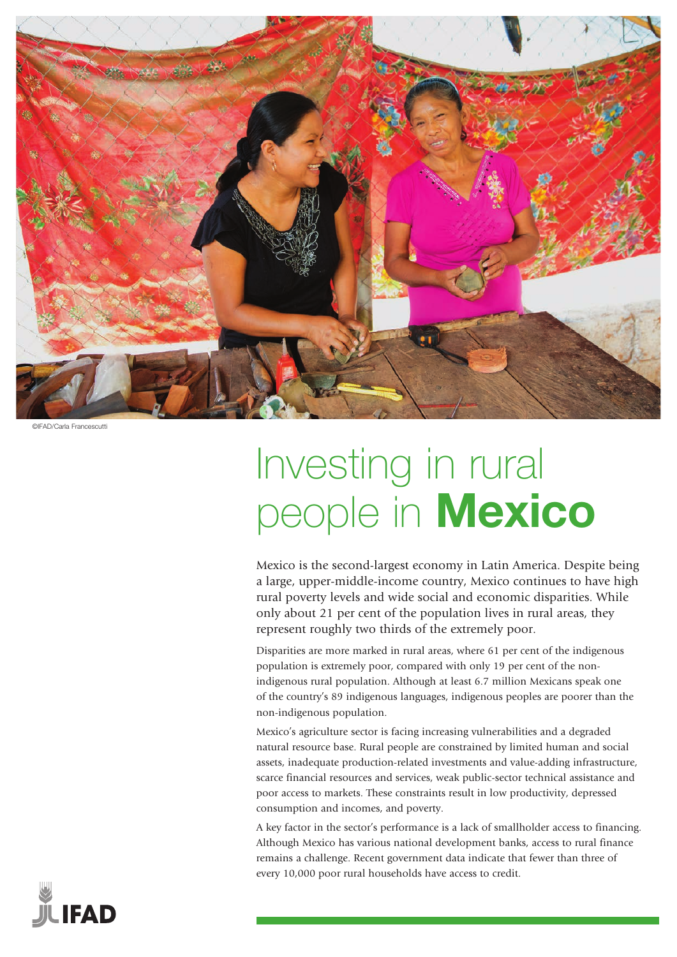

©IFAD/Carla Francescutti

# Investing in rural people in **Mexico**

Mexico is the second-largest economy in Latin America. Despite being a large, upper-middle-income country, Mexico continues to have high rural poverty levels and wide social and economic disparities. While only about 21 per cent of the population lives in rural areas, they represent roughly two thirds of the extremely poor.

Disparities are more marked in rural areas, where 61 per cent of the indigenous population is extremely poor, compared with only 19 per cent of the nonindigenous rural population. Although at least 6.7 million Mexicans speak one of the country's 89 indigenous languages, indigenous peoples are poorer than the non-indigenous population.

Mexico's agriculture sector is facing increasing vulnerabilities and a degraded natural resource base. Rural people are constrained by limited human and social assets, inadequate production-related investments and value-adding infrastructure, scarce financial resources and services, weak public-sector technical assistance and poor access to markets. These constraints result in low productivity, depressed consumption and incomes, and poverty.

A key factor in the sector's performance is a lack of smallholder access to financing. Although Mexico has various national development banks, access to rural finance remains a challenge. Recent government data indicate that fewer than three of every 10,000 poor rural households have access to credit.

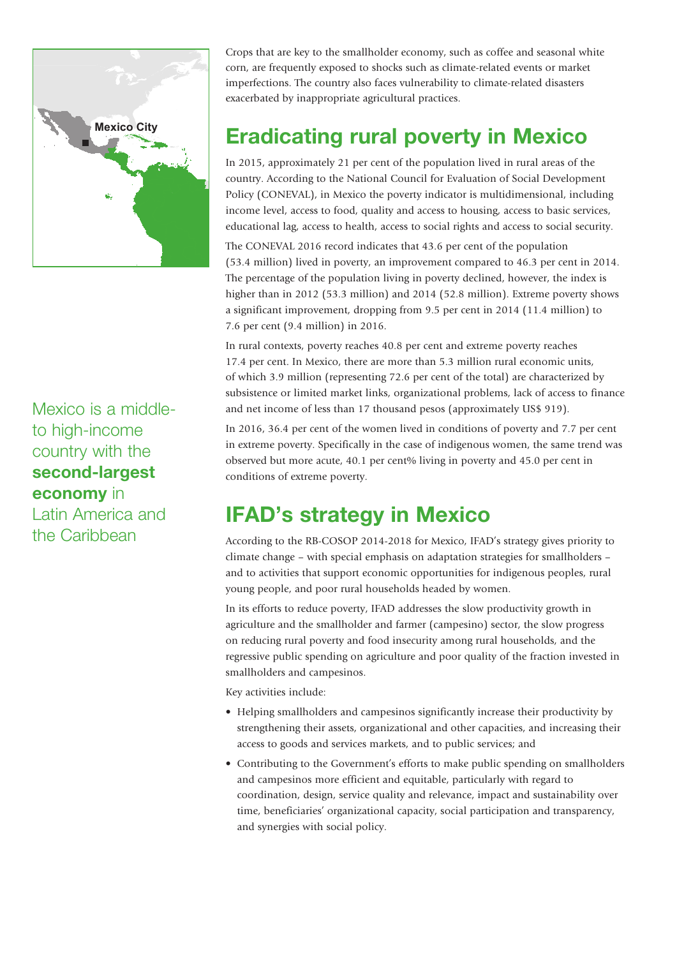

Mexico is a middleto high-income country with the second-largest economy in Latin America and

the Caribbean

Crops that are key to the smallholder economy, such as coffee and seasonal white corn, are frequently exposed to shocks such as climate-related events or market imperfections. The country also faces vulnerability to climate-related disasters exacerbated by inappropriate agricultural practices.

## Eradicating rural poverty in Mexico

In 2015, approximately 21 per cent of the population lived in rural areas of the country. According to the National Council for Evaluation of Social Development Policy (CONEVAL), in Mexico the poverty indicator is multidimensional, including income level, access to food, quality and access to housing, access to basic services, educational lag, access to health, access to social rights and access to social security.

The CONEVAL 2016 record indicates that 43.6 per cent of the population (53.4 million) lived in poverty, an improvement compared to 46.3 per cent in 2014. The percentage of the population living in poverty declined, however, the index is higher than in 2012 (53.3 million) and 2014 (52.8 million). Extreme poverty shows a significant improvement, dropping from 9.5 per cent in 2014 (11.4 million) to 7.6 per cent (9.4 million) in 2016.

In rural contexts, poverty reaches 40.8 per cent and extreme poverty reaches 17.4 per cent. In Mexico, there are more than 5.3 million rural economic units, of which 3.9 million (representing 72.6 per cent of the total) are characterized by subsistence or limited market links, organizational problems, lack of access to finance and net income of less than 17 thousand pesos (approximately US\$ 919).

In 2016, 36.4 per cent of the women lived in conditions of poverty and 7.7 per cent in extreme poverty. Specifically in the case of indigenous women, the same trend was observed but more acute, 40.1 per cent% living in poverty and 45.0 per cent in conditions of extreme poverty.

## IFAD's strategy in Mexico

According to the RB-COSOP 2014-2018 for Mexico, IFAD's strategy gives priority to climate change – with special emphasis on adaptation strategies for smallholders – and to activities that support economic opportunities for indigenous peoples, rural young people, and poor rural households headed by women.

In its efforts to reduce poverty, IFAD addresses the slow productivity growth in agriculture and the smallholder and farmer (campesino) sector, the slow progress on reducing rural poverty and food insecurity among rural households, and the regressive public spending on agriculture and poor quality of the fraction invested in smallholders and campesinos.

Key activities include:

- Helping smallholders and campesinos significantly increase their productivity by strengthening their assets, organizational and other capacities, and increasing their access to goods and services markets, and to public services; and
- Contributing to the Government's efforts to make public spending on smallholders and campesinos more efficient and equitable, particularly with regard to coordination, design, service quality and relevance, impact and sustainability over time, beneficiaries' organizational capacity, social participation and transparency, and synergies with social policy.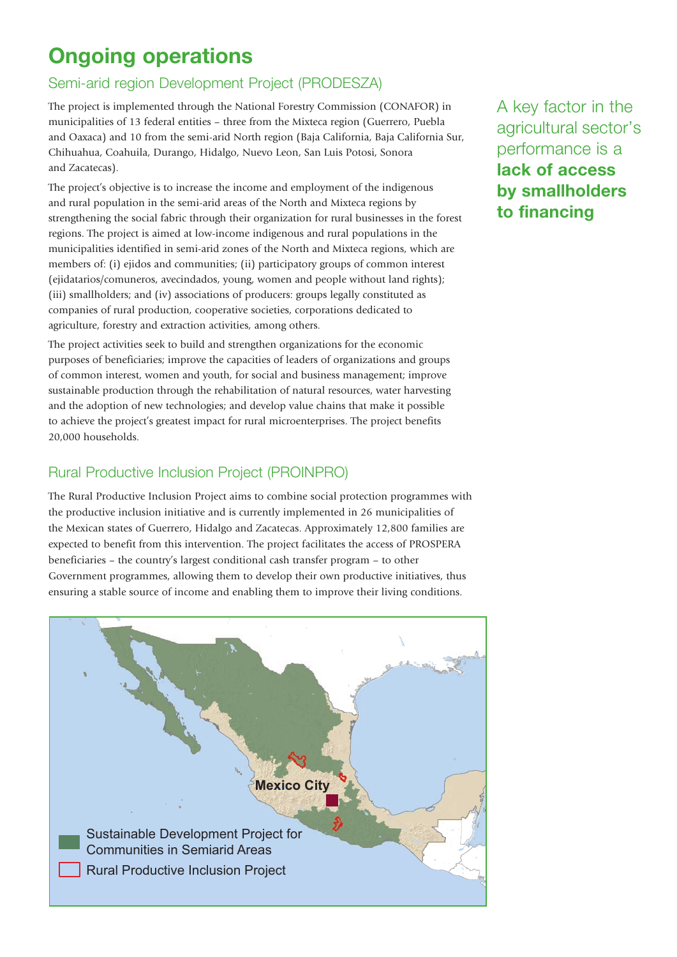# Ongoing operations

#### Semi-arid region Development Project (PRODESZA)

The project is implemented through the National Forestry Commission (CONAFOR) in municipalities of 13 federal entities – three from the Mixteca region (Guerrero, Puebla and Oaxaca) and 10 from the semi-arid North region (Baja California, Baja California Sur, Chihuahua, Coahuila, Durango, Hidalgo, Nuevo Leon, San Luis Potosi, Sonora and Zacatecas).

The project's objective is to increase the income and employment of the indigenous and rural population in the semi-arid areas of the North and Mixteca regions by strengthening the social fabric through their organization for rural businesses in the forest regions. The project is aimed at low-income indigenous and rural populations in the municipalities identified in semi-arid zones of the North and Mixteca regions, which are members of: (i) ejidos and communities; (ii) participatory groups of common interest (ejidatarios/comuneros, avecindados, young, women and people without land rights); (iii) smallholders; and (iv) associations of producers: groups legally constituted as companies of rural production, cooperative societies, corporations dedicated to agriculture, forestry and extraction activities, among others.

The project activities seek to build and strengthen organizations for the economic purposes of beneficiaries; improve the capacities of leaders of organizations and groups of common interest, women and youth, for social and business management; improve sustainable production through the rehabilitation of natural resources, water harvesting and the adoption of new technologies; and develop value chains that make it possible to achieve the project's greatest impact for rural microenterprises. The project benefits 20,000 households.

#### Rural Productive Inclusion Project (PROINPRO)

The Rural Productive Inclusion Project aims to combine social protection programmes with the productive inclusion initiative and is currently implemented in 26 municipalities of the Mexican states of Guerrero, Hidalgo and Zacatecas. Approximately 12,800 families are expected to benefit from this intervention. The project facilitates the access of PROSPERA beneficiaries – the country's largest conditional cash transfer program – to other Government programmes, allowing them to develop their own productive initiatives, thus ensuring a stable source of income and enabling them to improve their living conditions.



A key factor in the agricultural sector's performance is a lack of access by smallholders to financing